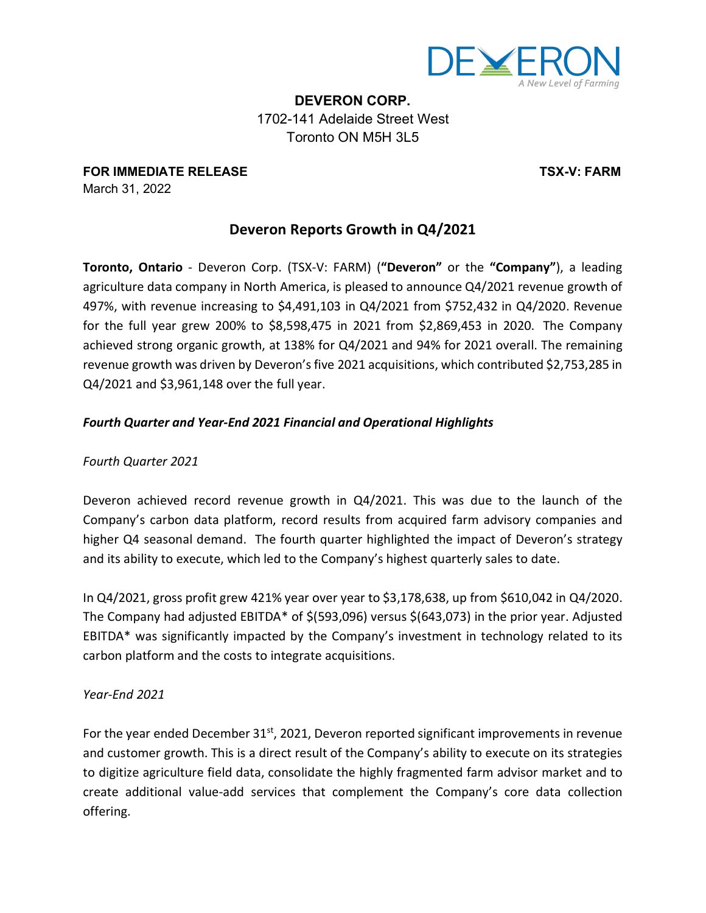

**DEVERON CORP.** 1702-141 Adelaide Street West Toronto ON M5H 3L5

**FOR IMMEDIATE RELEASE TSX-V: FARM** March 31, 2022

# **Deveron Reports Growth in Q4/2021**

**Toronto, Ontario** - Deveron Corp. (TSX-V: FARM) (**"Deveron"** or the **"Company"**), a leading agriculture data company in North America, is pleased to announce Q4/2021 revenue growth of 497%, with revenue increasing to \$4,491,103 in Q4/2021 from \$752,432 in Q4/2020. Revenue for the full year grew 200% to \$8,598,475 in 2021 from \$2,869,453 in 2020. The Company achieved strong organic growth, at 138% for Q4/2021 and 94% for 2021 overall. The remaining revenue growth was driven by Deveron'sfive 2021 acquisitions, which contributed \$2,753,285 in Q4/2021 and \$3,961,148 over the full year.

# *Fourth Quarter and Year-End 2021 Financial and Operational Highlights*

*Fourth Quarter 2021*

Deveron achieved record revenue growth in Q4/2021. This was due to the launch of the Company's carbon data platform, record results from acquired farm advisory companies and higher Q4 seasonal demand. The fourth quarter highlighted the impact of Deveron's strategy and its ability to execute, which led to the Company's highest quarterly sales to date.

In Q4/2021, gross profit grew 421% year over year to \$3,178,638, up from \$610,042 in Q4/2020. The Company had adjusted EBITDA\* of \$(593,096) versus \$(643,073) in the prior year. Adjusted EBITDA\* was significantly impacted by the Company's investment in technology related to its carbon platform and the costs to integrate acquisitions.

# *Year-End 2021*

For the year ended December 31<sup>st</sup>, 2021, Deveron reported significant improvements in revenue and customer growth. This is a direct result of the Company's ability to execute on its strategies to digitize agriculture field data, consolidate the highly fragmented farm advisor market and to create additional value-add services that complement the Company's core data collection offering.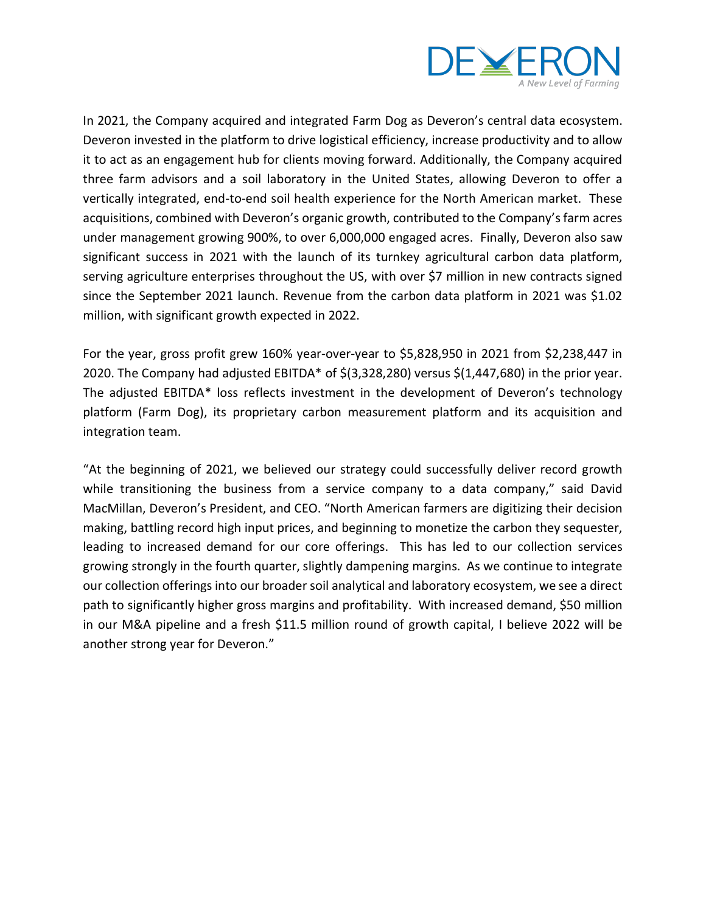

In 2021, the Company acquired and integrated Farm Dog as Deveron's central data ecosystem. Deveron invested in the platform to drive logistical efficiency, increase productivity and to allow it to act as an engagement hub for clients moving forward. Additionally, the Company acquired three farm advisors and a soil laboratory in the United States, allowing Deveron to offer a vertically integrated, end-to-end soil health experience for the North American market. These acquisitions, combined with Deveron's organic growth, contributed to the Company'sfarm acres under management growing 900%, to over 6,000,000 engaged acres. Finally, Deveron also saw significant success in 2021 with the launch of its turnkey agricultural carbon data platform, serving agriculture enterprises throughout the US, with over \$7 million in new contracts signed since the September 2021 launch. Revenue from the carbon data platform in 2021 was \$1.02 million, with significant growth expected in 2022.

For the year, gross profit grew 160% year-over-year to \$5,828,950 in 2021 from \$2,238,447 in 2020. The Company had adjusted EBITDA\* of \$(3,328,280) versus \$(1,447,680) in the prior year. The adjusted EBITDA\* loss reflects investment in the development of Deveron's technology platform (Farm Dog), its proprietary carbon measurement platform and its acquisition and integration team.

"At the beginning of 2021, we believed our strategy could successfully deliver record growth while transitioning the business from a service company to a data company," said David MacMillan, Deveron's President, and CEO. "North American farmers are digitizing their decision making, battling record high input prices, and beginning to monetize the carbon they sequester, leading to increased demand for our core offerings. This has led to our collection services growing strongly in the fourth quarter, slightly dampening margins. As we continue to integrate our collection offerings into our broader soil analytical and laboratory ecosystem, we see a direct path to significantly higher gross margins and profitability. With increased demand, \$50 million in our M&A pipeline and a fresh \$11.5 million round of growth capital, I believe 2022 will be another strong year for Deveron."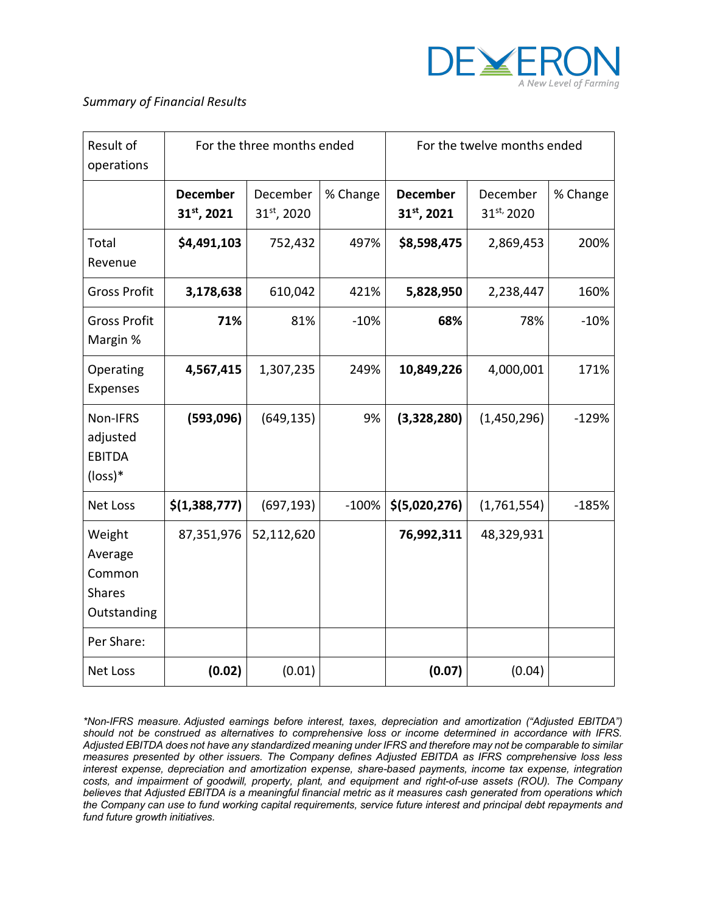

## *Summary of Financial Results*

| Result of<br>operations                                     | For the three months ended                 |                        |          | For the twelve months ended         |                        |          |
|-------------------------------------------------------------|--------------------------------------------|------------------------|----------|-------------------------------------|------------------------|----------|
|                                                             | <b>December</b><br>31 <sup>st</sup> , 2021 | December<br>31st, 2020 | % Change | <b>December</b><br>$31^{st}$ , 2021 | December<br>31st, 2020 | % Change |
| Total<br>Revenue                                            | \$4,491,103                                | 752,432                | 497%     | \$8,598,475                         | 2,869,453              | 200%     |
| <b>Gross Profit</b>                                         | 3,178,638                                  | 610,042                | 421%     | 5,828,950                           | 2,238,447              | 160%     |
| <b>Gross Profit</b><br>Margin %                             | 71%                                        | 81%                    | $-10%$   | 68%                                 | 78%                    | $-10%$   |
| Operating<br>Expenses                                       | 4,567,415                                  | 1,307,235              | 249%     | 10,849,226                          | 4,000,001              | 171%     |
| Non-IFRS<br>adjusted<br><b>EBITDA</b><br>$(\text{loss})^*$  | (593,096)                                  | (649, 135)             | 9%       | (3,328,280)                         | (1,450,296)            | $-129%$  |
| <b>Net Loss</b>                                             | \$(1,388,777)                              | (697, 193)             | $-100%$  | \$(5,020,276)                       | (1,761,554)            | $-185%$  |
| Weight<br>Average<br>Common<br><b>Shares</b><br>Outstanding | 87,351,976                                 | 52,112,620             |          | 76,992,311                          | 48,329,931             |          |
| Per Share:                                                  |                                            |                        |          |                                     |                        |          |
| <b>Net Loss</b>                                             | (0.02)                                     | (0.01)                 |          | (0.07)                              | (0.04)                 |          |

*\*Non-IFRS measure. Adjusted earnings before interest, taxes, depreciation and amortization ("Adjusted EBITDA") should not be construed as alternatives to comprehensive loss or income determined in accordance with IFRS.* Adjusted EBITDA does not have any standardized meaning under IFRS and therefore may not be comparable to similar *measures presented by other issuers. The Company defines Adjusted EBITDA as IFRS comprehensive loss less interest expense, depreciation and amortization expense, share-based payments, income tax expense, integration costs, and impairment of goodwill, property, plant, and equipment and right-of-use assets (ROU). The Company* believes that Adjusted EBITDA is a meaningful financial metric as it measures cash generated from operations which the Company can use to fund working capital requirements, service future interest and principal debt repayments and *fund future growth initiatives.*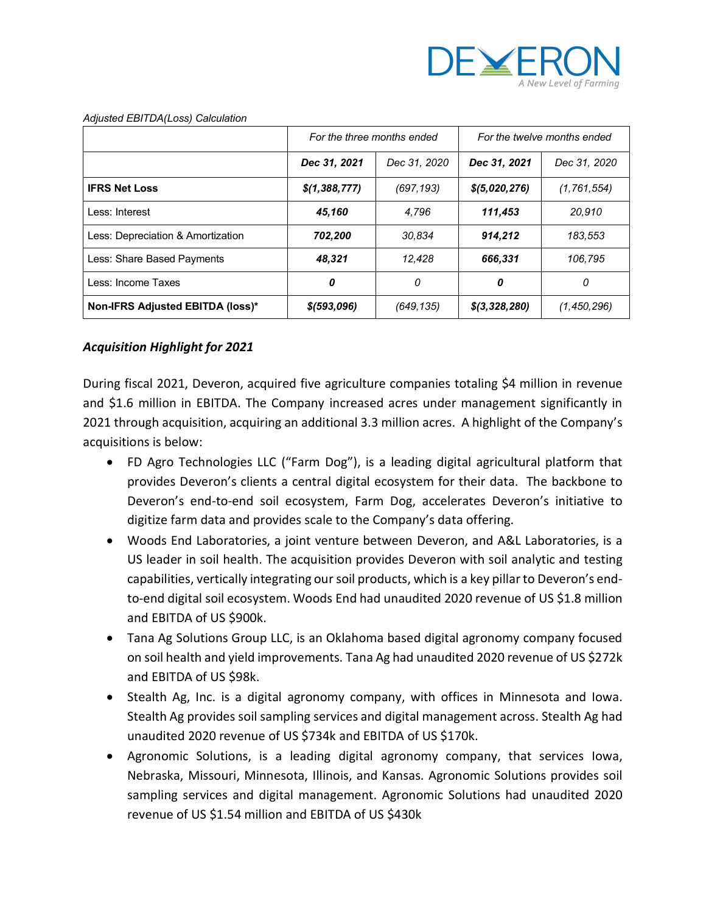

|                                   | For the three months ended |              | For the twelve months ended |               |
|-----------------------------------|----------------------------|--------------|-----------------------------|---------------|
|                                   | Dec 31, 2021               | Dec 31, 2020 | Dec 31, 2021                | Dec 31, 2020  |
| <b>IFRS Net Loss</b>              | \$(1,388,777)              | (697, 193)   | \$(5,020,276)               | (1, 761, 554) |
| Less: Interest                    | 45,160                     | 4.796        | 111,453                     | 20.910        |
| Less: Depreciation & Amortization | 702.200                    | 30.834       | 914.212                     | 183.553       |
| Less: Share Based Payments        | 48,321                     | 12.428       | 666,331                     | 106.795       |
| Less: Income Taxes                | 0                          | 0            | 0                           | 0             |
| Non-IFRS Adjusted EBITDA (loss)*  | $$$ (593,096)              | (649, 135)   | $$$ (3,328,280)             | (1,450,296)   |

#### *Adjusted EBITDA(Loss) Calculation*

## *Acquisition Highlight for 2021*

During fiscal 2021, Deveron, acquired five agriculture companies totaling \$4 million in revenue and \$1.6 million in EBITDA. The Company increased acres under management significantly in 2021 through acquisition, acquiring an additional 3.3 million acres. A highlight of the Company's acquisitions is below:

- FD Agro Technologies LLC ("Farm Dog"), is a leading digital agricultural platform that provides Deveron's clients a central digital ecosystem for their data. The backbone to Deveron's end-to-end soil ecosystem, Farm Dog, accelerates Deveron's initiative to digitize farm data and provides scale to the Company's data offering.
- Woods End Laboratories, a joint venture between Deveron, and A&L Laboratories, is a US leader in soil health. The acquisition provides Deveron with soil analytic and testing capabilities, vertically integrating oursoil products, which is a key pillarto Deveron's endto-end digital soil ecosystem. Woods End had unaudited 2020 revenue of US \$1.8 million and EBITDA of US \$900k.
- Tana Ag Solutions Group LLC, is an Oklahoma based digital agronomy company focused on soil health and yield improvements. Tana Ag had unaudited 2020 revenue of US \$272k and EBITDA of US \$98k.
- Stealth Ag, Inc. is a digital agronomy company, with offices in Minnesota and Iowa. Stealth Ag provides soil sampling services and digital management across. Stealth Ag had unaudited 2020 revenue of US \$734k and EBITDA of US \$170k.
- Agronomic Solutions, is a leading digital agronomy company, that services Iowa, Nebraska, Missouri, Minnesota, Illinois, and Kansas. Agronomic Solutions provides soil sampling services and digital management. Agronomic Solutions had unaudited 2020 revenue of US \$1.54 million and EBITDA of US \$430k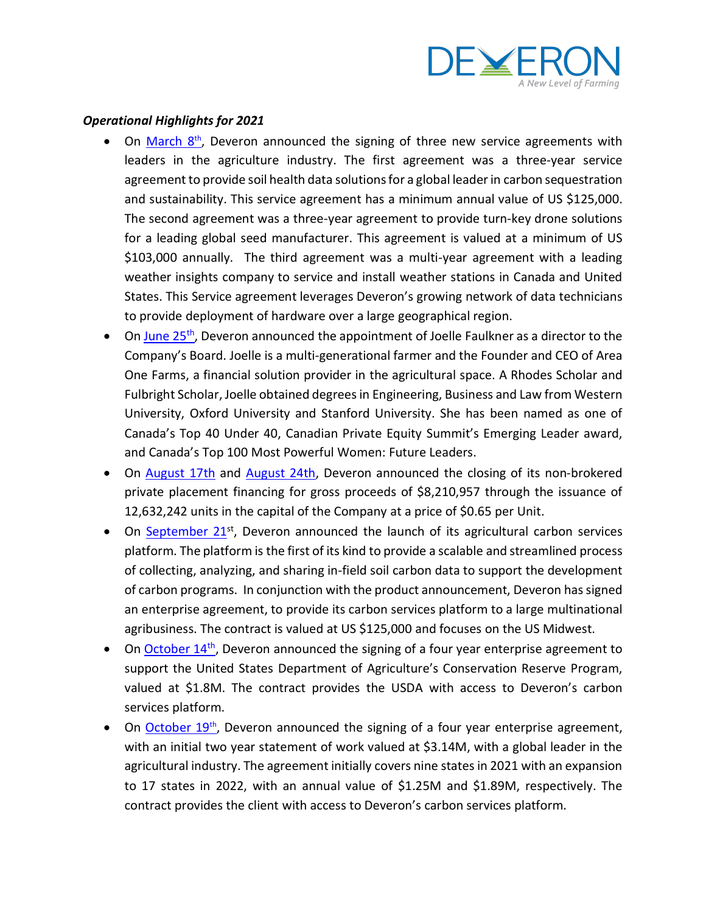

### *Operational Highlights for 2021*

- On March  $8<sup>th</sup>$ , Deveron announced the signing of three new service agreements with leaders in the agriculture industry. The first agreement was a three-year service agreement to provide soil health data solutions for a global leader in carbon sequestration and sustainability. This service agreement has a minimum annual value of US \$125,000. The second agreement was a three-year agreement to provide turn-key drone solutions for a leading global seed manufacturer. This agreement is valued at a minimum of US \$103,000 annually. The third agreement was a multi-year agreement with a leading weather insights company to service and install weather stations in Canada and United States. This Service agreement leverages Deveron's growing network of data technicians to provide deployment of hardware over a large geographical region.
- On June 25<sup>th</sup>, Deveron announced the appointment of Joelle Faulkner as a director to the Company's Board. Joelle is a multi-generational farmer and the Founder and CEO of Area One Farms, a financial solution provider in the agricultural space. A Rhodes Scholar and Fulbright Scholar, Joelle obtained degreesin Engineering, Business and Law from Western University, Oxford University and Stanford University. She has been named as one of Canada's Top 40 Under 40, Canadian Private Equity Summit's Emerging Leader award, and Canada's Top 100 Most Powerful Women: Future Leaders.
- On August 17th and August 24th, Deveron announced the closing of its non-brokered private placement financing for gross proceeds of \$8,210,957 through the issuance of 12,632,242 units in the capital of the Company at a price of \$0.65 per Unit.
- On September  $21^{st}$ , Deveron announced the launch of its agricultural carbon services platform. The platform is the first of its kind to provide a scalable and streamlined process of collecting, analyzing, and sharing in-field soil carbon data to support the development of carbon programs. In conjunction with the product announcement, Deveron has signed an enterprise agreement, to provide its carbon services platform to a large multinational agribusiness. The contract is valued at US \$125,000 and focuses on the US Midwest.
- On October  $14<sup>th</sup>$ , Deveron announced the signing of a four year enterprise agreement to support the United States Department of Agriculture's Conservation Reserve Program, valued at \$1.8M. The contract provides the USDA with access to Deveron's carbon services platform.
- On October  $19<sup>th</sup>$ , Deveron announced the signing of a four year enterprise agreement, with an initial two year statement of work valued at \$3.14M, with a global leader in the agricultural industry. The agreement initially covers nine statesin 2021 with an expansion to 17 states in 2022, with an annual value of \$1.25M and \$1.89M, respectively. The contract provides the client with access to Deveron's carbon services platform.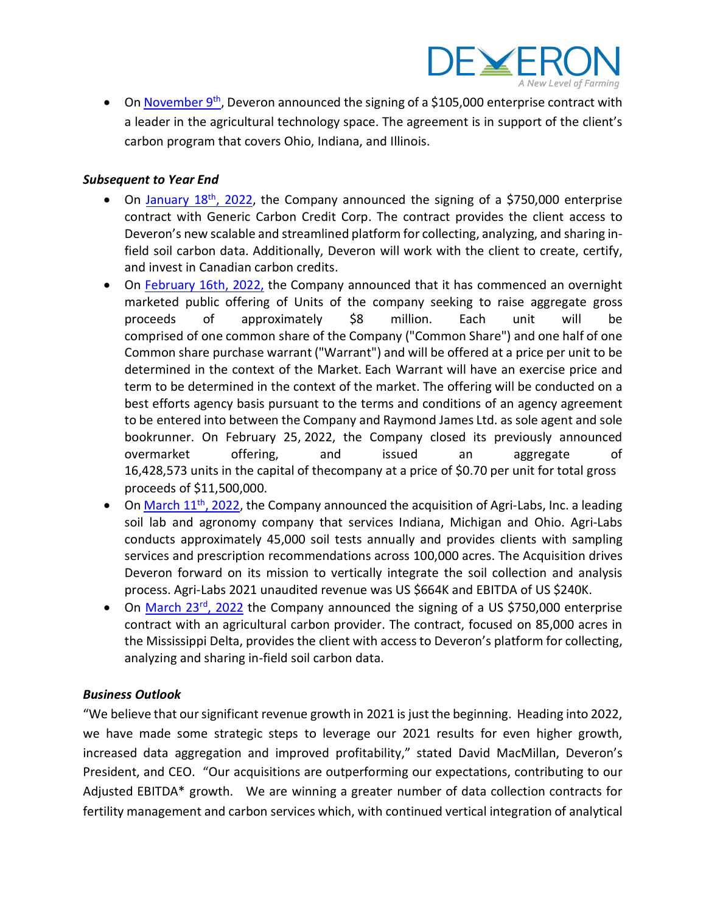

• On November  $9<sup>th</sup>$ , Deveron announced the signing of a \$105,000 enterprise contract with a leader in the agricultural technology space. The agreement is in support of the client's carbon program that covers Ohio, Indiana, and Illinois.

### *Subsequent to Year End*

- On January 18<sup>th</sup>, 2022, the Company announced the signing of a \$750,000 enterprise contract with Generic Carbon Credit Corp. The contract provides the client access to Deveron's new scalable and streamlined platform for collecting, analyzing, and sharing infield soil carbon data. Additionally, Deveron will work with the client to create, certify, and invest in Canadian carbon credits.
- On February 16th, 2022, the Company announced that it has commenced an overnight marketed public offering of Units of the company seeking to raise aggregate gross proceeds of approximately \$8 million. Each unit will be comprised of one common share of the Company ("Common Share") and one half of one Common share purchase warrant ("Warrant") and will be offered at a price per unit to be determined in the context of the Market. Each Warrant will have an exercise price and term to be determined in the context of the market. The offering will be conducted on a best efforts agency basis pursuant to the terms and conditions of an agency agreement to be entered into between the Company and Raymond James Ltd. as sole agent and sole bookrunner. On February 25, 2022, the Company closed its previously announced overmarket offering, and issued an aggregate of 16,428,573 units in the capital of thecompany at a price of \$0.70 per unit for total gross proceeds of \$11,500,000.
- On March  $11<sup>th</sup>$ , 2022, the Company announced the acquisition of Agri-Labs, Inc. a leading soil lab and agronomy company that services Indiana, Michigan and Ohio. Agri-Labs conducts approximately 45,000 soil tests annually and provides clients with sampling services and prescription recommendations across 100,000 acres. The Acquisition drives Deveron forward on its mission to vertically integrate the soil collection and analysis process. Agri-Labs 2021 unaudited revenue was US \$664K and EBITDA of US \$240K.
- On March 23<sup>rd</sup>, 2022 the Company announced the signing of a US \$750,000 enterprise contract with an agricultural carbon provider. The contract, focused on 85,000 acres in the Mississippi Delta, provides the client with accessto Deveron's platform for collecting, analyzing and sharing in-field soil carbon data.

### *Business Outlook*

"We believe that our significant revenue growth in 2021 is just the beginning. Heading into 2022, we have made some strategic steps to leverage our 2021 results for even higher growth, increased data aggregation and improved profitability," stated David MacMillan, Deveron's President, and CEO. "Our acquisitions are outperforming our expectations, contributing to our Adjusted EBITDA\* growth. We are winning a greater number of data collection contracts for fertility management and carbon services which, with continued vertical integration of analytical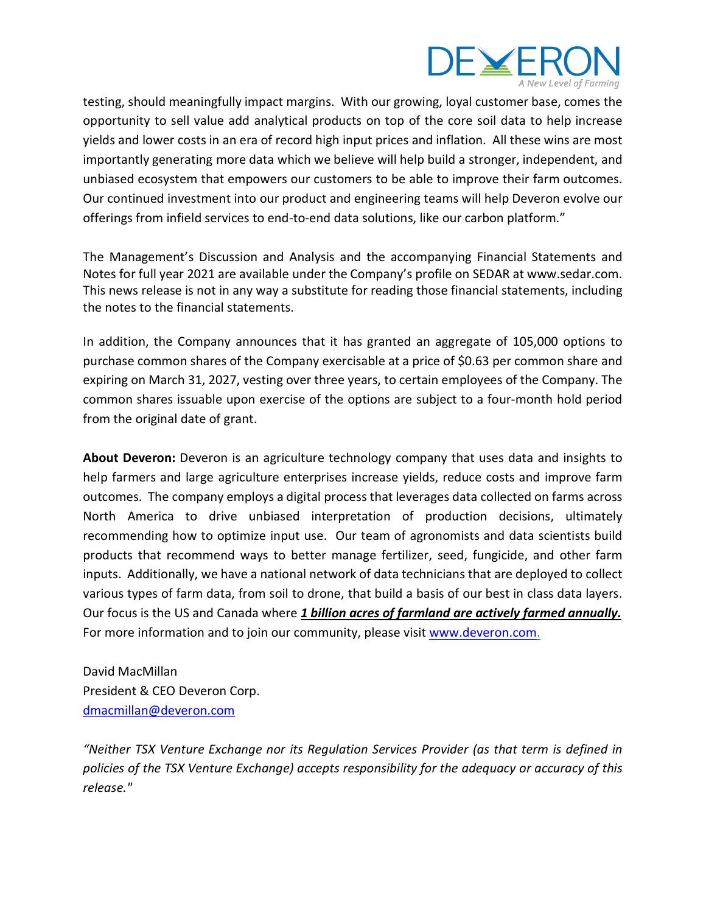

testing, should meaningfully impact margins. With our growing, loyal customer base, comes the opportunity to sell value add analytical products on top of the core soil data to help increase yields and lower costs in an era of record high input prices and inflation. All these wins are most importantly generating more data which we believe will help build a stronger, independent, and unbiased ecosystem that empowers our customers to be able to improve their farm outcomes. Our continued investment into our product and engineering teams will help Deveron evolve our offerings from infield services to end-to-end data solutions, like our carbon platform."

The Management's Discussion and Analysis and the accompanying Financial Statements and Notes for full year 2021 are available under the Company's profile on SEDAR at www.sedar.com. This news release is not in any way a substitute for reading those financial statements, including the notes to the financial statements.

In addition, the Company announces that it has granted an aggregate of 105,000 options to purchase common shares of the Company exercisable at a price of \$0.63 per common share and expiring on March 31, 2027, vesting over three years, to certain employees of the Company. The common shares issuable upon exercise of the options are subject to a four-month hold period from the original date of grant.

**About Deveron:** Deveron is an agriculture technology company that uses data and insights to help farmers and large agriculture enterprises increase yields, reduce costs and improve farm outcomes. The company employs a digital process that leverages data collected on farms across North America to drive unbiased interpretation of production decisions, ultimately recommending how to optimize input use. Our team of agronomists and data scientists build products that recommend ways to better manage fertilizer, seed, fungicide, and other farm inputs. Additionally, we have a national network of data technicians that are deployed to collect various types of farm data, from soil to drone, that build a basis of our best in class data layers. Our focus is the US and Canada where *1 billion acres of farmland are actively farmed annually.* For more information and to join our community, please visit www.deveron.com.

David MacMillan President & CEO Deveron Corp. dmacmillan@deveron.com

*"Neither TSX Venture Exchange nor its Regulation Services Provider (as that term is defined in policies of the TSX Venture Exchange) accepts responsibility for the adequacy or accuracy of this release."*